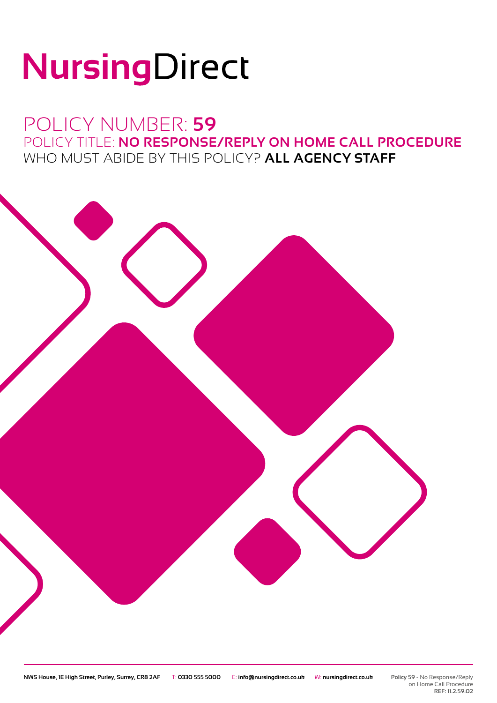# NursingDirect

### POLICY NUMBER: **59** POLICY TITLE: **NO RESPONSE/REPLY ON HOME CALL PROCEDURE** WHO MUST ABIDE BY THIS POLICY? **ALL AGENCY STAFF**